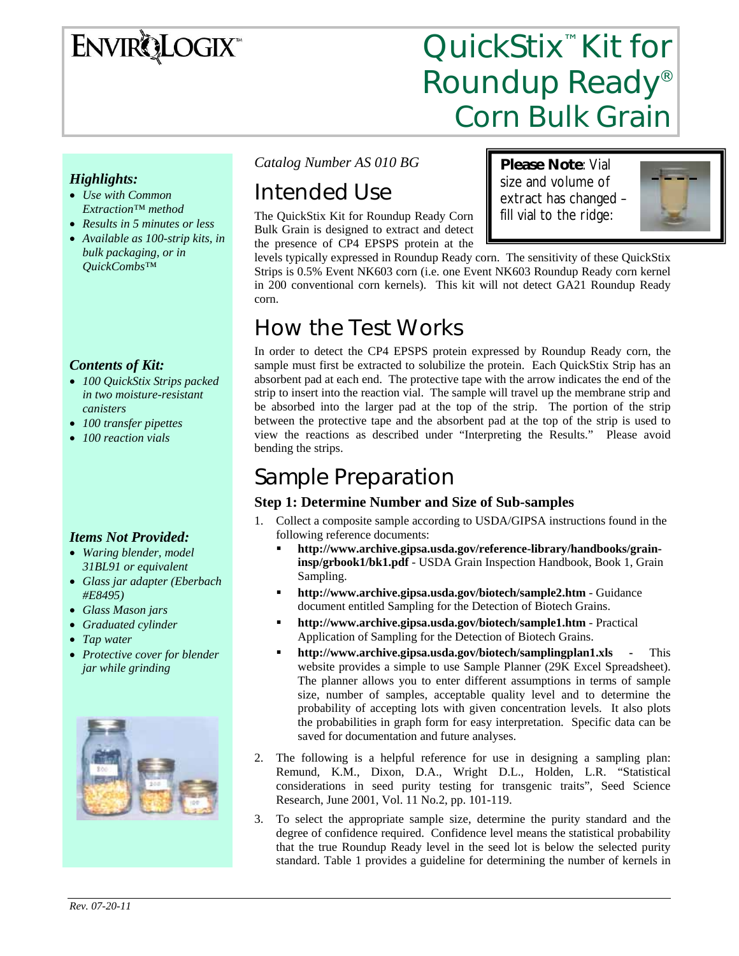# **ENVIRQLOGIX**

# QuickStix<sup>™</sup> Kit for Roundup Ready® Corn Bulk Grain

**Please Note**: Vial size and volume of extract has changed – fill vial to the ridge:

### *Highlights:*

- *Use with Common Extraction™ method*
- *Results in 5 minutes or less*
- *Available as 100-strip kits, in bulk packaging, or in QuickCombs™*

## *Contents of Kit:*

- *100 QuickStix Strips packed in two moisture-resistant canisters*
- *100 transfer pipettes*
- *100 reaction vials*

### *Items Not Provided:*

- *Waring blender, model 31BL91 or equivalent*
- *Glass jar adapter (Eberbach #E8495)*
- *Glass Mason jars*
- *Graduated cylinder*
- *Tap water*
- *Protective cover for blender jar while grinding*



*Catalog Number AS 010 BG* 

# Intended Use

The QuickStix Kit for Roundup Ready Corn Bulk Grain is designed to extract and detect the presence of CP4 EPSPS protein at the

levels typically expressed in Roundup Ready corn. The sensitivity of these QuickStix Strips is 0.5% Event NK603 corn (i.e. one Event NK603 Roundup Ready corn kernel in 200 conventional corn kernels). This kit will not detect GA21 Roundup Ready corn.

# How the Test Works

In order to detect the CP4 EPSPS protein expressed by Roundup Ready corn, the sample must first be extracted to solubilize the protein. Each QuickStix Strip has an absorbent pad at each end. The protective tape with the arrow indicates the end of the strip to insert into the reaction vial. The sample will travel up the membrane strip and be absorbed into the larger pad at the top of the strip. The portion of the strip between the protective tape and the absorbent pad at the top of the strip is used to view the reactions as described under "Interpreting the Results." Please avoid bending the strips.

# Sample Preparation

## **Step 1: Determine Number and Size of Sub-samples**

- 1. Collect a composite sample according to USDA/GIPSA instructions found in the following reference documents:
	- **http://www.archive.gipsa.usda.gov/reference-library/handbooks/graininsp/grbook1/bk1.pdf** - USDA Grain Inspection Handbook, Book 1, Grain Sampling.
	- **http://www.archive.gipsa.usda.gov/biotech/sample2.htm** Guidance document entitled Sampling for the Detection of Biotech Grains.
	- **http://www.archive.gipsa.usda.gov/biotech/sample1.htm** Practical Application of Sampling for the Detection of Biotech Grains.
	- **http://www.archive.gipsa.usda.gov/biotech/samplingplan1.xls** This website provides a simple to use Sample Planner (29K Excel Spreadsheet). The planner allows you to enter different assumptions in terms of sample size, number of samples, acceptable quality level and to determine the probability of accepting lots with given concentration levels. It also plots the probabilities in graph form for easy interpretation. Specific data can be saved for documentation and future analyses.
- 2. The following is a helpful reference for use in designing a sampling plan: Remund, K.M., Dixon, D.A., Wright D.L., Holden, L.R. "Statistical considerations in seed purity testing for transgenic traits", Seed Science Research, June 2001, Vol. 11 No.2, pp. 101-119.
- 3. To select the appropriate sample size, determine the purity standard and the degree of confidence required. Confidence level means the statistical probability that the true Roundup Ready level in the seed lot is below the selected purity standard. Table 1 provides a guideline for determining the number of kernels in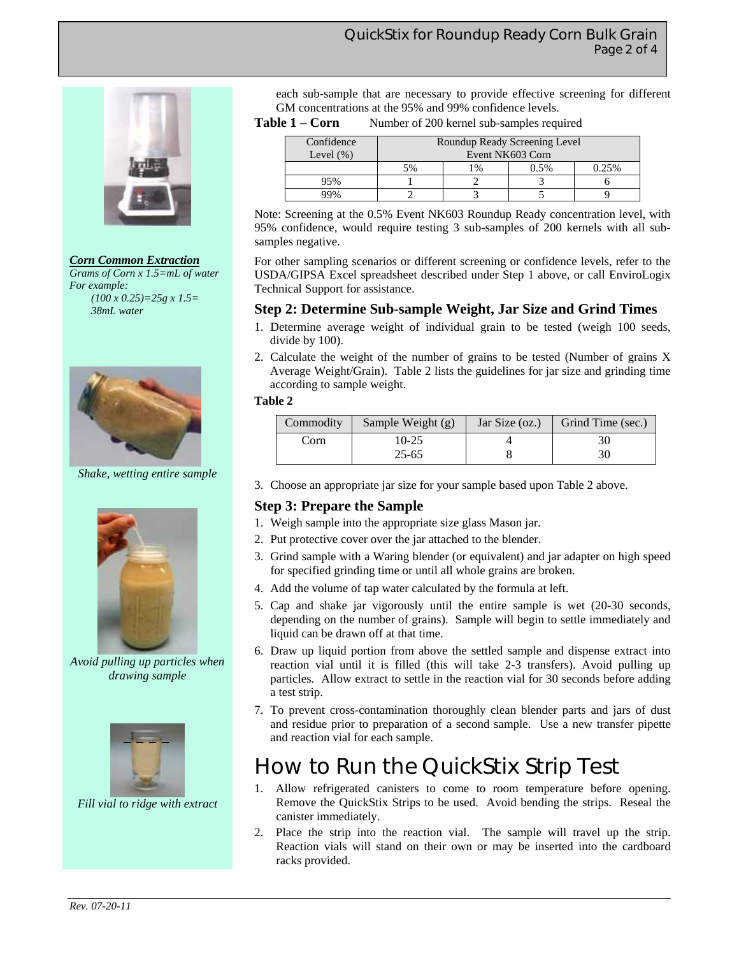

*Corn Common Extraction Grams of Corn x 1.5=mL of water* 

*For example: (100 x 0.25)=25g x 1.5= 38mL water* 



*Shake, wetting entire sample* 



*Avoid pulling up particles when drawing sample* 



*Fill vial to ridge with extract* 

each sub-sample that are necessary to provide effective screening for different GM concentrations at the 95% and 99% confidence levels.

Table 1 – Corn Number of 200 kernel sub-samples required

| Confidence    | Roundup Ready Screening Level |    |      |       |
|---------------|-------------------------------|----|------|-------|
| Level $(\% )$ | Event NK603 Corn              |    |      |       |
|               | 5%                            | 1% | 0.5% | 0.25% |
|               |                               |    |      |       |
| <b>JQ0</b>    |                               |    |      |       |

Note: Screening at the 0.5% Event NK603 Roundup Ready concentration level, with 95% confidence, would require testing 3 sub-samples of 200 kernels with all subsamples negative.

For other sampling scenarios or different screening or confidence levels, refer to the USDA/GIPSA Excel spreadsheet described under Step 1 above, or call EnviroLogix Technical Support for assistance.

### **Step 2: Determine Sub-sample Weight, Jar Size and Grind Times**

- 1. Determine average weight of individual grain to be tested (weigh 100 seeds, divide by 100).
- 2. Calculate the weight of the number of grains to be tested (Number of grains X Average Weight/Grain). Table 2 lists the guidelines for jar size and grinding time according to sample weight.

#### **Table 2**

| Commodity | Sample Weight (g) | Jar Size (oz.) | Grind Time (sec.) |
|-----------|-------------------|----------------|-------------------|
| Corn      | 10-25             |                |                   |
|           | $25 - 65$         |                | 30                |

3. Choose an appropriate jar size for your sample based upon Table 2 above.

### **Step 3: Prepare the Sample**

- 1. Weigh sample into the appropriate size glass Mason jar.
- 2. Put protective cover over the jar attached to the blender.
- 3. Grind sample with a Waring blender (or equivalent) and jar adapter on high speed for specified grinding time or until all whole grains are broken.
- 4. Add the volume of tap water calculated by the formula at left.
- 5. Cap and shake jar vigorously until the entire sample is wet (20-30 seconds, depending on the number of grains). Sample will begin to settle immediately and liquid can be drawn off at that time.
- 6. Draw up liquid portion from above the settled sample and dispense extract into reaction vial until it is filled (this will take 2-3 transfers). Avoid pulling up particles. Allow extract to settle in the reaction vial for 30 seconds before adding a test strip.
- 7. To prevent cross-contamination thoroughly clean blender parts and jars of dust and residue prior to preparation of a second sample. Use a new transfer pipette and reaction vial for each sample.

# How to Run the QuickStix Strip Test

- 1. Allow refrigerated canisters to come to room temperature before opening. Remove the QuickStix Strips to be used. Avoid bending the strips. Reseal the canister immediately.
- 2. Place the strip into the reaction vial. The sample will travel up the strip. Reaction vials will stand on their own or may be inserted into the cardboard racks provided.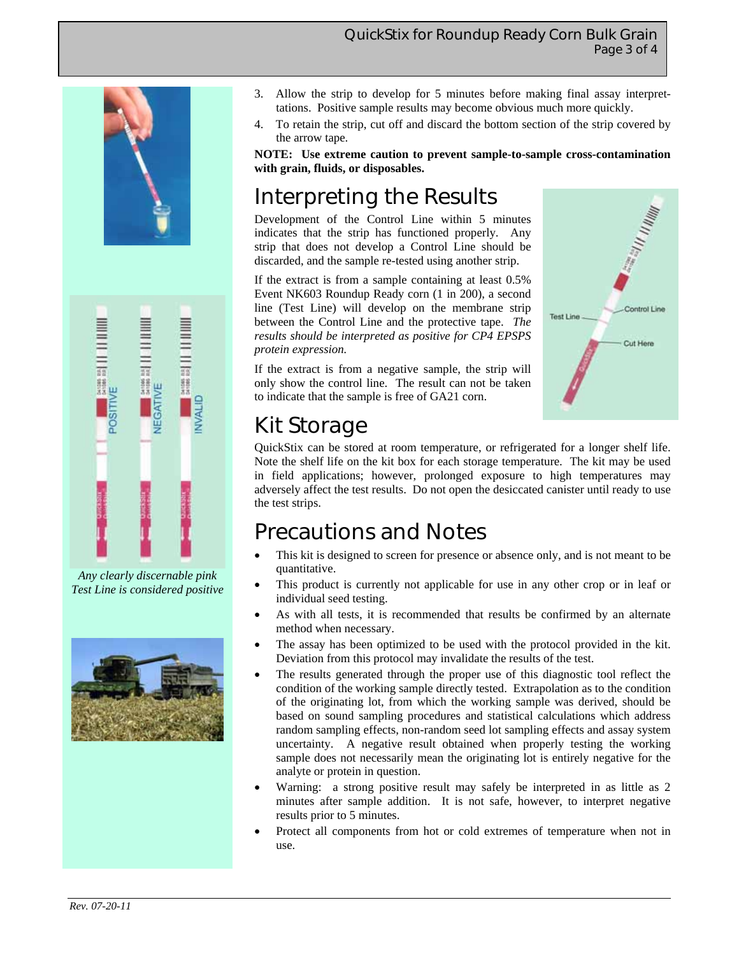### QuickStix for Roundup Ready Corn Bulk Grain Page 3 of 4





*Any clearly discernable pink Test Line is considered positive* 



- 3. Allow the strip to develop for 5 minutes before making final assay interprettations. Positive sample results may become obvious much more quickly.
- 4. To retain the strip, cut off and discard the bottom section of the strip covered by the arrow tape.

**NOTE: Use extreme caution to prevent sample-to-sample cross-contamination with grain, fluids, or disposables.** 

# Interpreting the Results

Development of the Control Line within 5 minutes indicates that the strip has functioned properly. Any strip that does not develop a Control Line should be discarded, and the sample re-tested using another strip.

If the extract is from a sample containing at least 0.5% Event NK603 Roundup Ready corn (1 in 200), a second line (Test Line) will develop on the membrane strip between the Control Line and the protective tape. *The results should be interpreted as positive for CP4 EPSPS protein expression.* 

If the extract is from a negative sample, the strip will only show the control line. The result can not be taken to indicate that the sample is free of GA21 corn.



# Kit Storage

QuickStix can be stored at room temperature, or refrigerated for a longer shelf life. Note the shelf life on the kit box for each storage temperature. The kit may be used in field applications; however, prolonged exposure to high temperatures may adversely affect the test results. Do not open the desiccated canister until ready to use the test strips.

# Precautions and Notes

- This kit is designed to screen for presence or absence only, and is not meant to be quantitative.
- This product is currently not applicable for use in any other crop or in leaf or individual seed testing.
- As with all tests, it is recommended that results be confirmed by an alternate method when necessary.
- The assay has been optimized to be used with the protocol provided in the kit. Deviation from this protocol may invalidate the results of the test.
- The results generated through the proper use of this diagnostic tool reflect the condition of the working sample directly tested. Extrapolation as to the condition of the originating lot, from which the working sample was derived, should be based on sound sampling procedures and statistical calculations which address random sampling effects, non-random seed lot sampling effects and assay system uncertainty. A negative result obtained when properly testing the working sample does not necessarily mean the originating lot is entirely negative for the analyte or protein in question.
- Warning: a strong positive result may safely be interpreted in as little as 2 minutes after sample addition. It is not safe, however, to interpret negative results prior to 5 minutes.
- Protect all components from hot or cold extremes of temperature when not in use.